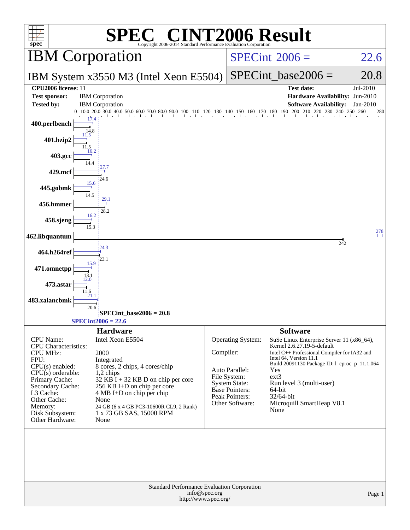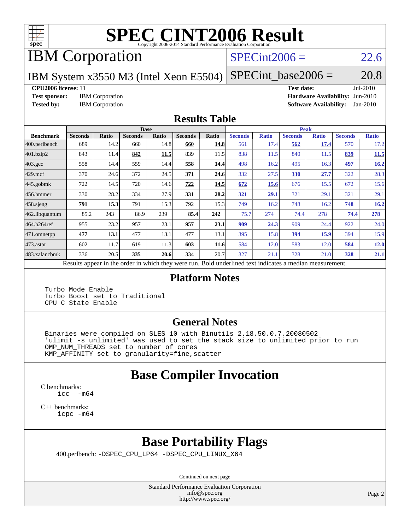

# **[SPEC CINT2006 Result](http://www.spec.org/auto/cpu2006/Docs/result-fields.html#SPECCINT2006Result)**

IBM Corporation

#### $SPECint2006 = 22.6$  $SPECint2006 = 22.6$

IBM System x3550 M3 (Intel Xeon E5504)  $SPECTnt\_base2006 = 20.8$ 

**[CPU2006 license:](http://www.spec.org/auto/cpu2006/Docs/result-fields.html#CPU2006license)** 11 **[Test date:](http://www.spec.org/auto/cpu2006/Docs/result-fields.html#Testdate)** Jul-2010 **[Test sponsor:](http://www.spec.org/auto/cpu2006/Docs/result-fields.html#Testsponsor)** IBM Corporation **[Hardware Availability:](http://www.spec.org/auto/cpu2006/Docs/result-fields.html#HardwareAvailability)** Jun-2010 **[Tested by:](http://www.spec.org/auto/cpu2006/Docs/result-fields.html#Testedby)** IBM Corporation **[Software Availability:](http://www.spec.org/auto/cpu2006/Docs/result-fields.html#SoftwareAvailability)** Jan-2010

#### **[Results Table](http://www.spec.org/auto/cpu2006/Docs/result-fields.html#ResultsTable)**

|                    | <b>Base</b>                                       |       |                |              |                |             |                                                     | <b>Peak</b>  |                |              |                |              |  |  |
|--------------------|---------------------------------------------------|-------|----------------|--------------|----------------|-------------|-----------------------------------------------------|--------------|----------------|--------------|----------------|--------------|--|--|
| <b>Benchmark</b>   | <b>Seconds</b>                                    | Ratio | <b>Seconds</b> | <b>Ratio</b> | <b>Seconds</b> | Ratio       | <b>Seconds</b>                                      | <b>Ratio</b> | <b>Seconds</b> | <b>Ratio</b> | <b>Seconds</b> | <b>Ratio</b> |  |  |
| $ 400$ .perlbench  | 689                                               | 14.2  | 660            | 14.8         | 660            | 14.8        | 561                                                 | 17.4         | 562            | 17.4         | 570            | 17.2         |  |  |
| 401.bzip2          | 843                                               | 11.4  | 842            | 11.5         | 839            | 11.5        | 838                                                 | 11.5         | 840            | 11.5         | 839            | <b>11.5</b>  |  |  |
| $403.\mathrm{gcc}$ | 558                                               | 14.4  | 559            | 14.4         | 558            | 14.4        | 498                                                 | 16.2         | 495            | 16.3         | <u>497</u>     | 16.2         |  |  |
| $429$ mcf          | 370                                               | 24.6  | 372            | 24.5         | 371            | 24.6        | 332                                                 | 27.5         | 330            | 27.7         | 322            | 28.3         |  |  |
| $445$ .gobmk       | 722                                               | 14.5  | 720            | 14.6         | 722            | 14.5        | 672                                                 | 15.6         | 676            | 15.5         | 672            | 15.6         |  |  |
| $ 456.$ hmmer      | 330                                               | 28.2  | 334            | 27.9         | 331            | 28.2        | 321                                                 | 29.1         | 321            | 29.1         | 321            | 29.1         |  |  |
| $458$ .sjeng       | 791                                               | 15.3  | 791            | 15.3         | 792            | 15.3        | 749                                                 | 16.2         | 748            | 16.2         | 748            | 16.2         |  |  |
| 462.libquantum     | 85.2                                              | 243   | 86.9           | 239          | 85.4           | 242         | 75.7                                                | 274          | 74.4           | 278          | 74.4           | 278          |  |  |
| 464.h264ref        | 955                                               | 23.2  | 957            | 23.1         | 957            | <u>23.1</u> | 909                                                 | 24.3         | 909            | 24.4         | 922            | 24.0         |  |  |
| 471.omnetpp        | 477                                               | 13.1  | 477            | 13.1         | 477            | 13.1        | 395                                                 | 15.8         | 394            | 15.9         | 394            | 15.9         |  |  |
| $ 473$ . astar     | 602                                               | 11.7  | 619            | 11.3         | 603            | 11.6        | 584                                                 | 12.0         | 583            | 12.0         | 584            | 12.0         |  |  |
| 483.xalancbmk      | 336                                               | 20.5  | 335            | 20.6         | 334            | 20.7        | 327                                                 | 21.1         | 328            | 21.0         | 328            | 21.1         |  |  |
|                    | Decute ennoye in the order in which they were mun |       |                |              |                |             | Dold underlined text indicates a madien measurement |              |                |              |                |              |  |  |

Results appear in the [order in which they were run.](http://www.spec.org/auto/cpu2006/Docs/result-fields.html#RunOrder) Bold underlined text [indicates a median measurement.](http://www.spec.org/auto/cpu2006/Docs/result-fields.html#Median)

#### **[Platform Notes](http://www.spec.org/auto/cpu2006/Docs/result-fields.html#PlatformNotes)**

 Turbo Mode Enable Turbo Boost set to Traditional CPU C State Enable

#### **[General Notes](http://www.spec.org/auto/cpu2006/Docs/result-fields.html#GeneralNotes)**

 Binaries were compiled on SLES 10 with Binutils 2.18.50.0.7.20080502 'ulimit -s unlimited' was used to set the stack size to unlimited prior to run OMP\_NUM\_THREADS set to number of cores KMP\_AFFINITY set to granularity=fine,scatter

## **[Base Compiler Invocation](http://www.spec.org/auto/cpu2006/Docs/result-fields.html#BaseCompilerInvocation)**

[C benchmarks](http://www.spec.org/auto/cpu2006/Docs/result-fields.html#Cbenchmarks): [icc -m64](http://www.spec.org/cpu2006/results/res2010q3/cpu2006-20100802-12742.flags.html#user_CCbase_intel_icc_64bit_f346026e86af2a669e726fe758c88044)

[C++ benchmarks:](http://www.spec.org/auto/cpu2006/Docs/result-fields.html#CXXbenchmarks) [icpc -m64](http://www.spec.org/cpu2006/results/res2010q3/cpu2006-20100802-12742.flags.html#user_CXXbase_intel_icpc_64bit_fc66a5337ce925472a5c54ad6a0de310)

## **[Base Portability Flags](http://www.spec.org/auto/cpu2006/Docs/result-fields.html#BasePortabilityFlags)**

400.perlbench: [-DSPEC\\_CPU\\_LP64](http://www.spec.org/cpu2006/results/res2010q3/cpu2006-20100802-12742.flags.html#b400.perlbench_basePORTABILITY_DSPEC_CPU_LP64) [-DSPEC\\_CPU\\_LINUX\\_X64](http://www.spec.org/cpu2006/results/res2010q3/cpu2006-20100802-12742.flags.html#b400.perlbench_baseCPORTABILITY_DSPEC_CPU_LINUX_X64)

Continued on next page

Standard Performance Evaluation Corporation [info@spec.org](mailto:info@spec.org) <http://www.spec.org/>

Page 2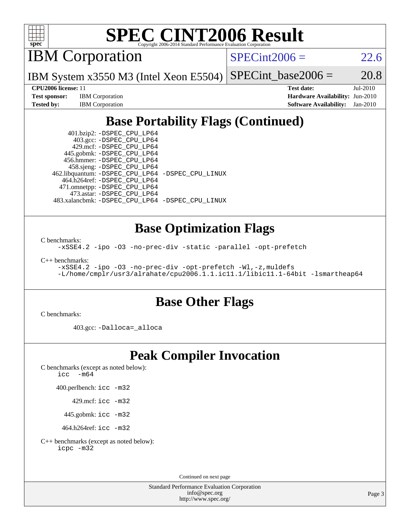

# **[SPEC CINT2006 Result](http://www.spec.org/auto/cpu2006/Docs/result-fields.html#SPECCINT2006Result)**

IBM Corporation

 $SPECint2006 = 22.6$  $SPECint2006 = 22.6$ 

IBM System x3550 M3 (Intel Xeon E5504)  $SPECTnt_base2006 = 20.8$ 

**[Test sponsor:](http://www.spec.org/auto/cpu2006/Docs/result-fields.html#Testsponsor)** IBM Corporation **[Hardware Availability:](http://www.spec.org/auto/cpu2006/Docs/result-fields.html#HardwareAvailability)** Jun-2010

**[CPU2006 license:](http://www.spec.org/auto/cpu2006/Docs/result-fields.html#CPU2006license)** 11 **[Test date:](http://www.spec.org/auto/cpu2006/Docs/result-fields.html#Testdate)** Jul-2010 **[Tested by:](http://www.spec.org/auto/cpu2006/Docs/result-fields.html#Testedby)** IBM Corporation **[Software Availability:](http://www.spec.org/auto/cpu2006/Docs/result-fields.html#SoftwareAvailability)** Jan-2010

## **[Base Portability Flags \(Continued\)](http://www.spec.org/auto/cpu2006/Docs/result-fields.html#BasePortabilityFlags)**

 401.bzip2: [-DSPEC\\_CPU\\_LP64](http://www.spec.org/cpu2006/results/res2010q3/cpu2006-20100802-12742.flags.html#suite_basePORTABILITY401_bzip2_DSPEC_CPU_LP64) 403.gcc: [-DSPEC\\_CPU\\_LP64](http://www.spec.org/cpu2006/results/res2010q3/cpu2006-20100802-12742.flags.html#suite_basePORTABILITY403_gcc_DSPEC_CPU_LP64) 429.mcf: [-DSPEC\\_CPU\\_LP64](http://www.spec.org/cpu2006/results/res2010q3/cpu2006-20100802-12742.flags.html#suite_basePORTABILITY429_mcf_DSPEC_CPU_LP64) 445.gobmk: [-DSPEC\\_CPU\\_LP64](http://www.spec.org/cpu2006/results/res2010q3/cpu2006-20100802-12742.flags.html#suite_basePORTABILITY445_gobmk_DSPEC_CPU_LP64) 456.hmmer: [-DSPEC\\_CPU\\_LP64](http://www.spec.org/cpu2006/results/res2010q3/cpu2006-20100802-12742.flags.html#suite_basePORTABILITY456_hmmer_DSPEC_CPU_LP64) 458.sjeng: [-DSPEC\\_CPU\\_LP64](http://www.spec.org/cpu2006/results/res2010q3/cpu2006-20100802-12742.flags.html#suite_basePORTABILITY458_sjeng_DSPEC_CPU_LP64) 462.libquantum: [-DSPEC\\_CPU\\_LP64](http://www.spec.org/cpu2006/results/res2010q3/cpu2006-20100802-12742.flags.html#suite_basePORTABILITY462_libquantum_DSPEC_CPU_LP64) [-DSPEC\\_CPU\\_LINUX](http://www.spec.org/cpu2006/results/res2010q3/cpu2006-20100802-12742.flags.html#b462.libquantum_baseCPORTABILITY_DSPEC_CPU_LINUX) 464.h264ref: [-DSPEC\\_CPU\\_LP64](http://www.spec.org/cpu2006/results/res2010q3/cpu2006-20100802-12742.flags.html#suite_basePORTABILITY464_h264ref_DSPEC_CPU_LP64) 471.omnetpp: [-DSPEC\\_CPU\\_LP64](http://www.spec.org/cpu2006/results/res2010q3/cpu2006-20100802-12742.flags.html#suite_basePORTABILITY471_omnetpp_DSPEC_CPU_LP64) 473.astar: [-DSPEC\\_CPU\\_LP64](http://www.spec.org/cpu2006/results/res2010q3/cpu2006-20100802-12742.flags.html#suite_basePORTABILITY473_astar_DSPEC_CPU_LP64) 483.xalancbmk: [-DSPEC\\_CPU\\_LP64](http://www.spec.org/cpu2006/results/res2010q3/cpu2006-20100802-12742.flags.html#suite_basePORTABILITY483_xalancbmk_DSPEC_CPU_LP64) [-DSPEC\\_CPU\\_LINUX](http://www.spec.org/cpu2006/results/res2010q3/cpu2006-20100802-12742.flags.html#b483.xalancbmk_baseCXXPORTABILITY_DSPEC_CPU_LINUX)

#### **[Base Optimization Flags](http://www.spec.org/auto/cpu2006/Docs/result-fields.html#BaseOptimizationFlags)**

[C benchmarks](http://www.spec.org/auto/cpu2006/Docs/result-fields.html#Cbenchmarks):

[-xSSE4.2](http://www.spec.org/cpu2006/results/res2010q3/cpu2006-20100802-12742.flags.html#user_CCbase_f-xSSE42_f91528193cf0b216347adb8b939d4107) [-ipo](http://www.spec.org/cpu2006/results/res2010q3/cpu2006-20100802-12742.flags.html#user_CCbase_f-ipo) [-O3](http://www.spec.org/cpu2006/results/res2010q3/cpu2006-20100802-12742.flags.html#user_CCbase_f-O3) [-no-prec-div](http://www.spec.org/cpu2006/results/res2010q3/cpu2006-20100802-12742.flags.html#user_CCbase_f-no-prec-div) [-static](http://www.spec.org/cpu2006/results/res2010q3/cpu2006-20100802-12742.flags.html#user_CCbase_f-static) [-parallel](http://www.spec.org/cpu2006/results/res2010q3/cpu2006-20100802-12742.flags.html#user_CCbase_f-parallel) [-opt-prefetch](http://www.spec.org/cpu2006/results/res2010q3/cpu2006-20100802-12742.flags.html#user_CCbase_f-opt-prefetch)

[C++ benchmarks:](http://www.spec.org/auto/cpu2006/Docs/result-fields.html#CXXbenchmarks)

```
-xSSE4.2 -ipo -O3 -no-prec-div -opt-prefetch -Wl,-z,muldefs
-L/home/cmplr/usr3/alrahate/cpu2006.1.1.ic11.1/libic11.1-64bit -lsmartheap64
```
### **[Base Other Flags](http://www.spec.org/auto/cpu2006/Docs/result-fields.html#BaseOtherFlags)**

[C benchmarks](http://www.spec.org/auto/cpu2006/Docs/result-fields.html#Cbenchmarks):

403.gcc: [-Dalloca=\\_alloca](http://www.spec.org/cpu2006/results/res2010q3/cpu2006-20100802-12742.flags.html#b403.gcc_baseEXTRA_CFLAGS_Dalloca_be3056838c12de2578596ca5467af7f3)

### **[Peak Compiler Invocation](http://www.spec.org/auto/cpu2006/Docs/result-fields.html#PeakCompilerInvocation)**

[C benchmarks \(except as noted below\)](http://www.spec.org/auto/cpu2006/Docs/result-fields.html#Cbenchmarksexceptasnotedbelow): [icc -m64](http://www.spec.org/cpu2006/results/res2010q3/cpu2006-20100802-12742.flags.html#user_CCpeak_intel_icc_64bit_f346026e86af2a669e726fe758c88044)

400.perlbench: [icc -m32](http://www.spec.org/cpu2006/results/res2010q3/cpu2006-20100802-12742.flags.html#user_peakCCLD400_perlbench_intel_icc_32bit_a6a621f8d50482236b970c6ac5f55f93)

429.mcf: [icc -m32](http://www.spec.org/cpu2006/results/res2010q3/cpu2006-20100802-12742.flags.html#user_peakCCLD429_mcf_intel_icc_32bit_a6a621f8d50482236b970c6ac5f55f93)

445.gobmk: [icc -m32](http://www.spec.org/cpu2006/results/res2010q3/cpu2006-20100802-12742.flags.html#user_peakCCLD445_gobmk_intel_icc_32bit_a6a621f8d50482236b970c6ac5f55f93)

464.h264ref: [icc -m32](http://www.spec.org/cpu2006/results/res2010q3/cpu2006-20100802-12742.flags.html#user_peakCCLD464_h264ref_intel_icc_32bit_a6a621f8d50482236b970c6ac5f55f93)

[C++ benchmarks \(except as noted below\):](http://www.spec.org/auto/cpu2006/Docs/result-fields.html#CXXbenchmarksexceptasnotedbelow) [icpc -m32](http://www.spec.org/cpu2006/results/res2010q3/cpu2006-20100802-12742.flags.html#user_CXXpeak_intel_icpc_32bit_4e5a5ef1a53fd332b3c49e69c3330699)

Continued on next page

Standard Performance Evaluation Corporation [info@spec.org](mailto:info@spec.org) <http://www.spec.org/>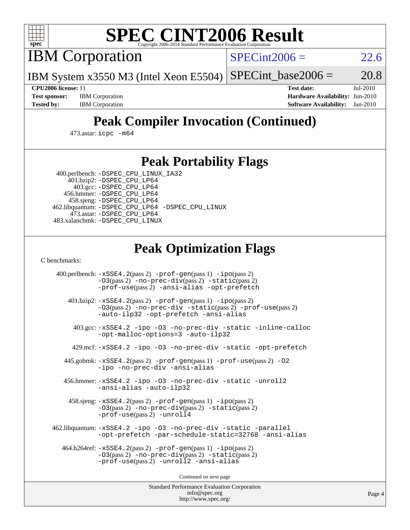

# **[SPEC CINT2006 Result](http://www.spec.org/auto/cpu2006/Docs/result-fields.html#SPECCINT2006Result)**

IBM Corporation

 $SPECint2006 = 22.6$  $SPECint2006 = 22.6$ 

IBM System x3550 M3 (Intel Xeon E5504)  $SPECTnt_base2006 = 20.8$ 

**[Test sponsor:](http://www.spec.org/auto/cpu2006/Docs/result-fields.html#Testsponsor)** IBM Corporation **[Hardware Availability:](http://www.spec.org/auto/cpu2006/Docs/result-fields.html#HardwareAvailability)** Jun-2010

**[CPU2006 license:](http://www.spec.org/auto/cpu2006/Docs/result-fields.html#CPU2006license)** 11 **[Test date:](http://www.spec.org/auto/cpu2006/Docs/result-fields.html#Testdate)** Jul-2010 **[Tested by:](http://www.spec.org/auto/cpu2006/Docs/result-fields.html#Testedby)** IBM Corporation **[Software Availability:](http://www.spec.org/auto/cpu2006/Docs/result-fields.html#SoftwareAvailability)** Jan-2010

## **[Peak Compiler Invocation \(Continued\)](http://www.spec.org/auto/cpu2006/Docs/result-fields.html#PeakCompilerInvocation)**

473.astar: [icpc -m64](http://www.spec.org/cpu2006/results/res2010q3/cpu2006-20100802-12742.flags.html#user_peakCXXLD473_astar_intel_icpc_64bit_fc66a5337ce925472a5c54ad6a0de310)

#### **[Peak Portability Flags](http://www.spec.org/auto/cpu2006/Docs/result-fields.html#PeakPortabilityFlags)**

 400.perlbench: [-DSPEC\\_CPU\\_LINUX\\_IA32](http://www.spec.org/cpu2006/results/res2010q3/cpu2006-20100802-12742.flags.html#b400.perlbench_peakCPORTABILITY_DSPEC_CPU_LINUX_IA32) 401.bzip2: [-DSPEC\\_CPU\\_LP64](http://www.spec.org/cpu2006/results/res2010q3/cpu2006-20100802-12742.flags.html#suite_peakPORTABILITY401_bzip2_DSPEC_CPU_LP64)

 403.gcc: [-DSPEC\\_CPU\\_LP64](http://www.spec.org/cpu2006/results/res2010q3/cpu2006-20100802-12742.flags.html#suite_peakPORTABILITY403_gcc_DSPEC_CPU_LP64) 456.hmmer: [-DSPEC\\_CPU\\_LP64](http://www.spec.org/cpu2006/results/res2010q3/cpu2006-20100802-12742.flags.html#suite_peakPORTABILITY456_hmmer_DSPEC_CPU_LP64) 458.sjeng: [-DSPEC\\_CPU\\_LP64](http://www.spec.org/cpu2006/results/res2010q3/cpu2006-20100802-12742.flags.html#suite_peakPORTABILITY458_sjeng_DSPEC_CPU_LP64) 462.libquantum: [-DSPEC\\_CPU\\_LP64](http://www.spec.org/cpu2006/results/res2010q3/cpu2006-20100802-12742.flags.html#suite_peakPORTABILITY462_libquantum_DSPEC_CPU_LP64) [-DSPEC\\_CPU\\_LINUX](http://www.spec.org/cpu2006/results/res2010q3/cpu2006-20100802-12742.flags.html#b462.libquantum_peakCPORTABILITY_DSPEC_CPU_LINUX) 473.astar: [-DSPEC\\_CPU\\_LP64](http://www.spec.org/cpu2006/results/res2010q3/cpu2006-20100802-12742.flags.html#suite_peakPORTABILITY473_astar_DSPEC_CPU_LP64) 483.xalancbmk: [-DSPEC\\_CPU\\_LINUX](http://www.spec.org/cpu2006/results/res2010q3/cpu2006-20100802-12742.flags.html#b483.xalancbmk_peakCXXPORTABILITY_DSPEC_CPU_LINUX)

### **[Peak Optimization Flags](http://www.spec.org/auto/cpu2006/Docs/result-fields.html#PeakOptimizationFlags)**

[C benchmarks](http://www.spec.org/auto/cpu2006/Docs/result-fields.html#Cbenchmarks):

 400.perlbench: [-xSSE4.2](http://www.spec.org/cpu2006/results/res2010q3/cpu2006-20100802-12742.flags.html#user_peakPASS2_CFLAGSPASS2_LDCFLAGS400_perlbench_f-xSSE42_f91528193cf0b216347adb8b939d4107)(pass 2) [-prof-gen](http://www.spec.org/cpu2006/results/res2010q3/cpu2006-20100802-12742.flags.html#user_peakPASS1_CFLAGSPASS1_LDCFLAGS400_perlbench_prof_gen_e43856698f6ca7b7e442dfd80e94a8fc)(pass 1) [-ipo](http://www.spec.org/cpu2006/results/res2010q3/cpu2006-20100802-12742.flags.html#user_peakPASS2_CFLAGSPASS2_LDCFLAGS400_perlbench_f-ipo)(pass 2) [-O3](http://www.spec.org/cpu2006/results/res2010q3/cpu2006-20100802-12742.flags.html#user_peakPASS2_CFLAGSPASS2_LDCFLAGS400_perlbench_f-O3)(pass 2) [-no-prec-div](http://www.spec.org/cpu2006/results/res2010q3/cpu2006-20100802-12742.flags.html#user_peakPASS2_CFLAGSPASS2_LDCFLAGS400_perlbench_f-no-prec-div)(pass 2) [-static](http://www.spec.org/cpu2006/results/res2010q3/cpu2006-20100802-12742.flags.html#user_peakPASS2_CFLAGSPASS2_LDCFLAGS400_perlbench_f-static)(pass 2) [-prof-use](http://www.spec.org/cpu2006/results/res2010q3/cpu2006-20100802-12742.flags.html#user_peakPASS2_CFLAGSPASS2_LDCFLAGS400_perlbench_prof_use_bccf7792157ff70d64e32fe3e1250b55)(pass 2) [-ansi-alias](http://www.spec.org/cpu2006/results/res2010q3/cpu2006-20100802-12742.flags.html#user_peakCOPTIMIZE400_perlbench_f-ansi-alias) [-opt-prefetch](http://www.spec.org/cpu2006/results/res2010q3/cpu2006-20100802-12742.flags.html#user_peakCOPTIMIZE400_perlbench_f-opt-prefetch) 401.bzip2: [-xSSE4.2](http://www.spec.org/cpu2006/results/res2010q3/cpu2006-20100802-12742.flags.html#user_peakPASS2_CFLAGSPASS2_LDCFLAGS401_bzip2_f-xSSE42_f91528193cf0b216347adb8b939d4107)(pass 2) [-prof-gen](http://www.spec.org/cpu2006/results/res2010q3/cpu2006-20100802-12742.flags.html#user_peakPASS1_CFLAGSPASS1_LDCFLAGS401_bzip2_prof_gen_e43856698f6ca7b7e442dfd80e94a8fc)(pass 1) [-ipo](http://www.spec.org/cpu2006/results/res2010q3/cpu2006-20100802-12742.flags.html#user_peakPASS2_CFLAGSPASS2_LDCFLAGS401_bzip2_f-ipo)(pass 2) [-O3](http://www.spec.org/cpu2006/results/res2010q3/cpu2006-20100802-12742.flags.html#user_peakPASS2_CFLAGSPASS2_LDCFLAGS401_bzip2_f-O3)(pass 2) [-no-prec-div](http://www.spec.org/cpu2006/results/res2010q3/cpu2006-20100802-12742.flags.html#user_peakCOPTIMIZEPASS2_CFLAGSPASS2_LDCFLAGS401_bzip2_f-no-prec-div) [-static](http://www.spec.org/cpu2006/results/res2010q3/cpu2006-20100802-12742.flags.html#user_peakPASS2_CFLAGSPASS2_LDCFLAGS401_bzip2_f-static)(pass 2) [-prof-use](http://www.spec.org/cpu2006/results/res2010q3/cpu2006-20100802-12742.flags.html#user_peakPASS2_CFLAGSPASS2_LDCFLAGS401_bzip2_prof_use_bccf7792157ff70d64e32fe3e1250b55)(pass 2) [-auto-ilp32](http://www.spec.org/cpu2006/results/res2010q3/cpu2006-20100802-12742.flags.html#user_peakCOPTIMIZE401_bzip2_f-auto-ilp32) [-opt-prefetch](http://www.spec.org/cpu2006/results/res2010q3/cpu2006-20100802-12742.flags.html#user_peakCOPTIMIZE401_bzip2_f-opt-prefetch) [-ansi-alias](http://www.spec.org/cpu2006/results/res2010q3/cpu2006-20100802-12742.flags.html#user_peakCOPTIMIZE401_bzip2_f-ansi-alias) 403.gcc: [-xSSE4.2](http://www.spec.org/cpu2006/results/res2010q3/cpu2006-20100802-12742.flags.html#user_peakCOPTIMIZE403_gcc_f-xSSE42_f91528193cf0b216347adb8b939d4107) [-ipo](http://www.spec.org/cpu2006/results/res2010q3/cpu2006-20100802-12742.flags.html#user_peakCOPTIMIZE403_gcc_f-ipo) [-O3](http://www.spec.org/cpu2006/results/res2010q3/cpu2006-20100802-12742.flags.html#user_peakCOPTIMIZE403_gcc_f-O3) [-no-prec-div](http://www.spec.org/cpu2006/results/res2010q3/cpu2006-20100802-12742.flags.html#user_peakCOPTIMIZE403_gcc_f-no-prec-div) [-static](http://www.spec.org/cpu2006/results/res2010q3/cpu2006-20100802-12742.flags.html#user_peakCOPTIMIZE403_gcc_f-static) [-inline-calloc](http://www.spec.org/cpu2006/results/res2010q3/cpu2006-20100802-12742.flags.html#user_peakCOPTIMIZE403_gcc_f-inline-calloc) [-opt-malloc-options=3](http://www.spec.org/cpu2006/results/res2010q3/cpu2006-20100802-12742.flags.html#user_peakCOPTIMIZE403_gcc_f-opt-malloc-options_13ab9b803cf986b4ee62f0a5998c2238) [-auto-ilp32](http://www.spec.org/cpu2006/results/res2010q3/cpu2006-20100802-12742.flags.html#user_peakCOPTIMIZE403_gcc_f-auto-ilp32) 429.mcf: [-xSSE4.2](http://www.spec.org/cpu2006/results/res2010q3/cpu2006-20100802-12742.flags.html#user_peakCOPTIMIZE429_mcf_f-xSSE42_f91528193cf0b216347adb8b939d4107) [-ipo](http://www.spec.org/cpu2006/results/res2010q3/cpu2006-20100802-12742.flags.html#user_peakCOPTIMIZE429_mcf_f-ipo) [-O3](http://www.spec.org/cpu2006/results/res2010q3/cpu2006-20100802-12742.flags.html#user_peakCOPTIMIZE429_mcf_f-O3) [-no-prec-div](http://www.spec.org/cpu2006/results/res2010q3/cpu2006-20100802-12742.flags.html#user_peakCOPTIMIZE429_mcf_f-no-prec-div) [-static](http://www.spec.org/cpu2006/results/res2010q3/cpu2006-20100802-12742.flags.html#user_peakCOPTIMIZE429_mcf_f-static) [-opt-prefetch](http://www.spec.org/cpu2006/results/res2010q3/cpu2006-20100802-12742.flags.html#user_peakCOPTIMIZE429_mcf_f-opt-prefetch) 445.gobmk: [-xSSE4.2](http://www.spec.org/cpu2006/results/res2010q3/cpu2006-20100802-12742.flags.html#user_peakPASS2_CFLAGSPASS2_LDCFLAGS445_gobmk_f-xSSE42_f91528193cf0b216347adb8b939d4107)(pass 2) [-prof-gen](http://www.spec.org/cpu2006/results/res2010q3/cpu2006-20100802-12742.flags.html#user_peakPASS1_CFLAGSPASS1_LDCFLAGS445_gobmk_prof_gen_e43856698f6ca7b7e442dfd80e94a8fc)(pass 1) [-prof-use](http://www.spec.org/cpu2006/results/res2010q3/cpu2006-20100802-12742.flags.html#user_peakPASS2_CFLAGSPASS2_LDCFLAGS445_gobmk_prof_use_bccf7792157ff70d64e32fe3e1250b55)(pass 2) [-O2](http://www.spec.org/cpu2006/results/res2010q3/cpu2006-20100802-12742.flags.html#user_peakCOPTIMIZE445_gobmk_f-O2) [-ipo](http://www.spec.org/cpu2006/results/res2010q3/cpu2006-20100802-12742.flags.html#user_peakCOPTIMIZE445_gobmk_f-ipo) [-no-prec-div](http://www.spec.org/cpu2006/results/res2010q3/cpu2006-20100802-12742.flags.html#user_peakCOPTIMIZE445_gobmk_f-no-prec-div) [-ansi-alias](http://www.spec.org/cpu2006/results/res2010q3/cpu2006-20100802-12742.flags.html#user_peakCOPTIMIZE445_gobmk_f-ansi-alias) 456.hmmer: [-xSSE4.2](http://www.spec.org/cpu2006/results/res2010q3/cpu2006-20100802-12742.flags.html#user_peakCOPTIMIZE456_hmmer_f-xSSE42_f91528193cf0b216347adb8b939d4107) [-ipo](http://www.spec.org/cpu2006/results/res2010q3/cpu2006-20100802-12742.flags.html#user_peakCOPTIMIZE456_hmmer_f-ipo) [-O3](http://www.spec.org/cpu2006/results/res2010q3/cpu2006-20100802-12742.flags.html#user_peakCOPTIMIZE456_hmmer_f-O3) [-no-prec-div](http://www.spec.org/cpu2006/results/res2010q3/cpu2006-20100802-12742.flags.html#user_peakCOPTIMIZE456_hmmer_f-no-prec-div) [-static](http://www.spec.org/cpu2006/results/res2010q3/cpu2006-20100802-12742.flags.html#user_peakCOPTIMIZE456_hmmer_f-static) [-unroll2](http://www.spec.org/cpu2006/results/res2010q3/cpu2006-20100802-12742.flags.html#user_peakCOPTIMIZE456_hmmer_f-unroll_784dae83bebfb236979b41d2422d7ec2) [-ansi-alias](http://www.spec.org/cpu2006/results/res2010q3/cpu2006-20100802-12742.flags.html#user_peakCOPTIMIZE456_hmmer_f-ansi-alias) [-auto-ilp32](http://www.spec.org/cpu2006/results/res2010q3/cpu2006-20100802-12742.flags.html#user_peakCOPTIMIZE456_hmmer_f-auto-ilp32) 458.sjeng: [-xSSE4.2](http://www.spec.org/cpu2006/results/res2010q3/cpu2006-20100802-12742.flags.html#user_peakPASS2_CFLAGSPASS2_LDCFLAGS458_sjeng_f-xSSE42_f91528193cf0b216347adb8b939d4107)(pass 2) [-prof-gen](http://www.spec.org/cpu2006/results/res2010q3/cpu2006-20100802-12742.flags.html#user_peakPASS1_CFLAGSPASS1_LDCFLAGS458_sjeng_prof_gen_e43856698f6ca7b7e442dfd80e94a8fc)(pass 1) [-ipo](http://www.spec.org/cpu2006/results/res2010q3/cpu2006-20100802-12742.flags.html#user_peakPASS2_CFLAGSPASS2_LDCFLAGS458_sjeng_f-ipo)(pass 2) [-O3](http://www.spec.org/cpu2006/results/res2010q3/cpu2006-20100802-12742.flags.html#user_peakPASS2_CFLAGSPASS2_LDCFLAGS458_sjeng_f-O3)(pass 2) [-no-prec-div](http://www.spec.org/cpu2006/results/res2010q3/cpu2006-20100802-12742.flags.html#user_peakPASS2_CFLAGSPASS2_LDCFLAGS458_sjeng_f-no-prec-div)(pass 2) [-static](http://www.spec.org/cpu2006/results/res2010q3/cpu2006-20100802-12742.flags.html#user_peakPASS2_CFLAGSPASS2_LDCFLAGS458_sjeng_f-static)(pass 2) [-prof-use](http://www.spec.org/cpu2006/results/res2010q3/cpu2006-20100802-12742.flags.html#user_peakPASS2_CFLAGSPASS2_LDCFLAGS458_sjeng_prof_use_bccf7792157ff70d64e32fe3e1250b55)(pass 2) [-unroll4](http://www.spec.org/cpu2006/results/res2010q3/cpu2006-20100802-12742.flags.html#user_peakCOPTIMIZE458_sjeng_f-unroll_4e5e4ed65b7fd20bdcd365bec371b81f) 462.libquantum: [-xSSE4.2](http://www.spec.org/cpu2006/results/res2010q3/cpu2006-20100802-12742.flags.html#user_peakCOPTIMIZE462_libquantum_f-xSSE42_f91528193cf0b216347adb8b939d4107) [-ipo](http://www.spec.org/cpu2006/results/res2010q3/cpu2006-20100802-12742.flags.html#user_peakCOPTIMIZE462_libquantum_f-ipo) [-O3](http://www.spec.org/cpu2006/results/res2010q3/cpu2006-20100802-12742.flags.html#user_peakCOPTIMIZE462_libquantum_f-O3) [-no-prec-div](http://www.spec.org/cpu2006/results/res2010q3/cpu2006-20100802-12742.flags.html#user_peakCOPTIMIZE462_libquantum_f-no-prec-div) [-static](http://www.spec.org/cpu2006/results/res2010q3/cpu2006-20100802-12742.flags.html#user_peakCOPTIMIZE462_libquantum_f-static) [-parallel](http://www.spec.org/cpu2006/results/res2010q3/cpu2006-20100802-12742.flags.html#user_peakCOPTIMIZE462_libquantum_f-parallel) [-opt-prefetch](http://www.spec.org/cpu2006/results/res2010q3/cpu2006-20100802-12742.flags.html#user_peakCOPTIMIZE462_libquantum_f-opt-prefetch) [-par-schedule-static=32768](http://www.spec.org/cpu2006/results/res2010q3/cpu2006-20100802-12742.flags.html#user_peakCOPTIMIZE462_libquantum_f-par-schedule_9386bcd99ba64e99ee01d1aafefddd14) [-ansi-alias](http://www.spec.org/cpu2006/results/res2010q3/cpu2006-20100802-12742.flags.html#user_peakCOPTIMIZE462_libquantum_f-ansi-alias) 464.h264ref: [-xSSE4.2](http://www.spec.org/cpu2006/results/res2010q3/cpu2006-20100802-12742.flags.html#user_peakPASS2_CFLAGSPASS2_LDCFLAGS464_h264ref_f-xSSE42_f91528193cf0b216347adb8b939d4107)(pass 2) [-prof-gen](http://www.spec.org/cpu2006/results/res2010q3/cpu2006-20100802-12742.flags.html#user_peakPASS1_CFLAGSPASS1_LDCFLAGS464_h264ref_prof_gen_e43856698f6ca7b7e442dfd80e94a8fc)(pass 1) [-ipo](http://www.spec.org/cpu2006/results/res2010q3/cpu2006-20100802-12742.flags.html#user_peakPASS2_CFLAGSPASS2_LDCFLAGS464_h264ref_f-ipo)(pass 2) [-O3](http://www.spec.org/cpu2006/results/res2010q3/cpu2006-20100802-12742.flags.html#user_peakPASS2_CFLAGSPASS2_LDCFLAGS464_h264ref_f-O3)(pass 2) [-no-prec-div](http://www.spec.org/cpu2006/results/res2010q3/cpu2006-20100802-12742.flags.html#user_peakPASS2_CFLAGSPASS2_LDCFLAGS464_h264ref_f-no-prec-div)(pass 2) [-static](http://www.spec.org/cpu2006/results/res2010q3/cpu2006-20100802-12742.flags.html#user_peakPASS2_CFLAGSPASS2_LDCFLAGS464_h264ref_f-static)(pass 2) [-prof-use](http://www.spec.org/cpu2006/results/res2010q3/cpu2006-20100802-12742.flags.html#user_peakPASS2_CFLAGSPASS2_LDCFLAGS464_h264ref_prof_use_bccf7792157ff70d64e32fe3e1250b55)(pass 2) [-unroll2](http://www.spec.org/cpu2006/results/res2010q3/cpu2006-20100802-12742.flags.html#user_peakCOPTIMIZE464_h264ref_f-unroll_784dae83bebfb236979b41d2422d7ec2) [-ansi-alias](http://www.spec.org/cpu2006/results/res2010q3/cpu2006-20100802-12742.flags.html#user_peakCOPTIMIZE464_h264ref_f-ansi-alias)

Continued on next page

Standard Performance Evaluation Corporation [info@spec.org](mailto:info@spec.org) <http://www.spec.org/>